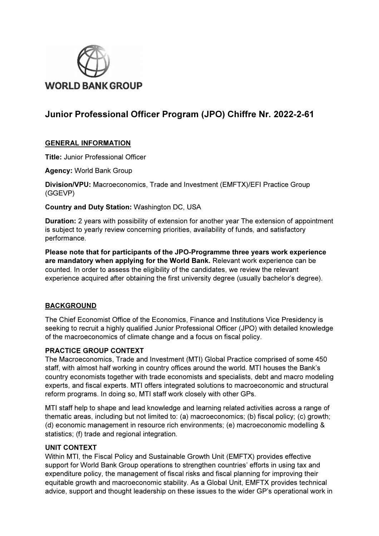

# Junior Professional Officer Program (JPO) Chiffre Nr. 2022-2-61

## GENERAL INFORMATION

Title: Junior Professional Officer

Agency: World Bank Group

Division/VPU: Macroeconomics, Trade and Investment (EMFTX)/EFI Practice Group (GGEVP)

Country and Duty Station: Washington DC, USA

Duration: 2 years with possibility of extension for another year The extension of appointment is subject to yearly review concerning priorities, availability of funds, and satisfactory performance.

Please note that for participants of the JPO-Programme three years work experience are mandatory when applying for the World Bank. Relevant work experience can be counted. In order to assess the eligibility of the candidates, we review the relevant experience acquired after obtaining the first university degree (usually bachelor's degree).

# BACKGROUND

The Chief Economist Office of the Economics, Finance and Institutions Vice Presidency is seeking to recruit a highly qualified Junior Professional Officer (JPO) with detailed knowledge of the macroeconomics of climate change and a focus on fiscal policy.

#### PRACTICE GROUP CONTEXT

The Macroeconomics, Trade and Investment (MTI) Global Practice comprised of some 450 staff, with almost half working in country offices around the world. MTI houses the Bank's country economists together with trade economists and specialists, debt and macro modeling experts, and fiscal experts. MTI offers integrated solutions to macroeconomic and structural reform programs. In doing so, MTI staff work closely with other GPs.

MTI staff help to shape and lead knowledge and learning related activities across a range of thematic areas, including but not limited to: (a) macroeconomics; (b) fiscal policy; (c) growth; (d) economic management in resource rich environments; (e) macroeconomic modelling & statistics; (f) trade and regional integration.

#### UNIT CONTEXT

Within MTI, the Fiscal Policy and Sustainable Growth Unit (EMFTX) provides effective support for World Bank Group operations to strengthen countries' efforts in using tax and expenditure policy, the management of fiscal risks and fiscal planning for improving their equitable growth and macroeconomic stability. As a Global Unit, EMFTX provides technical advice, support and thought leadership on these issues to the wider GP's operational work in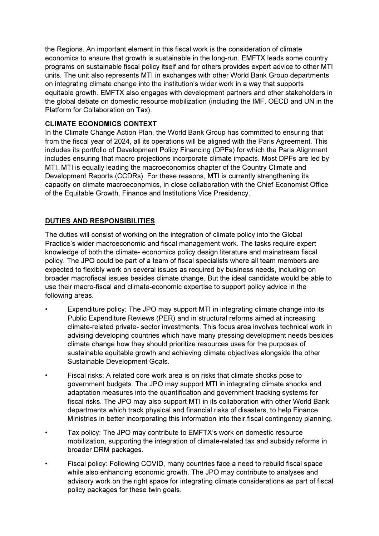the Regions. An important element in this fiscal work is the consideration of climate economics to ensure that growth is sustainable in the long-run. EMFTX leads some country programs on sustainable fiscal policy itself and for others provides expert advice to other MTI units. The unit also represents MTI in exchanges with other World Bank Group departments on integrating climate change into the institution's wider work in a way that supports equitable growth. EMFTX also engages with development partners and other stakeholders in the global debate on domestic resource mobilization (including the IMF, OECD and UN in the Platform for Collaboration on Tax).

## CLIMATE ECONOMICS CONTEXT

In the Climate Change Action Plan, the World Bank Group has committed to ensuring that from the fiscal year of 2024, all its operations will be aligned with the Paris Agreement. This includes its portfolio of Development Policy Financing (DPFs) for which the Paris Alignment includes ensuring that macro projections incorporate climate impacts. Most DPFs are led by MTI. MTI is equally leading the macroeconomics chapter of the Country Climate and Development Reports (CCDRs). For these reasons, MTI is currently strengthening its capacity on climate macroeconomics, in close collaboration with the Chief Economist Office of the Equitable Growth, Finance and Institutions Vice Presidency.

# DUTIES AND RESPONSIBILITIES

The duties will consist of working on the integration of climate policy into the Global Practice's wider macroeconomic and fiscal management work. The tasks require expert knowledge of both the climate- economics policy design literature and mainstream fiscal policy. The JPO could be part of a team of fiscal specialists where all team members are expected to flexibly work on several issues as required by business needs, including on broader macrofiscal issues besides climate change. But the ideal candidate would be able to use their macro-fiscal and climate-economic expertise to support policy advice in the following areas.

- Expenditure policy: The JPO may support MTI in integrating climate change into its Public Expenditure Reviews (PER) and in structural reforms aimed at increasing climate-related private- sector investments. This focus area involves technical work in advising developing countries which have many pressing development needs besides climate change how they should prioritize resources uses for the purposes of sustainable equitable growth and achieving climate objectives alongside the other Sustainable Development Goals.
- Fiscal risks: A related core work area is on risks that climate shocks pose to government budgets. The JPO may support MTI in integrating climate shocks and adaptation measures into the quantification and government tracking systems for fiscal risks. The JPO may also support MTI in its collaboration with other World Bank departments which track physical and financial risks of disasters, to help Finance Ministries in better incorporating this information into their fiscal contingency planning.
- Tax policy: The JPO may contribute to EMFTX's work on domestic resource mobilization, supporting the integration of climate-related tax and subsidy reforms in broader DRM packages.
- Fiscal policy: Following COVID, many countries face a need to rebuild fiscal space while also enhancing economic growth. The JPO may contribute to analyses and advisory work on the right space for integrating climate considerations as part of fiscal policy packages for these twin goals.